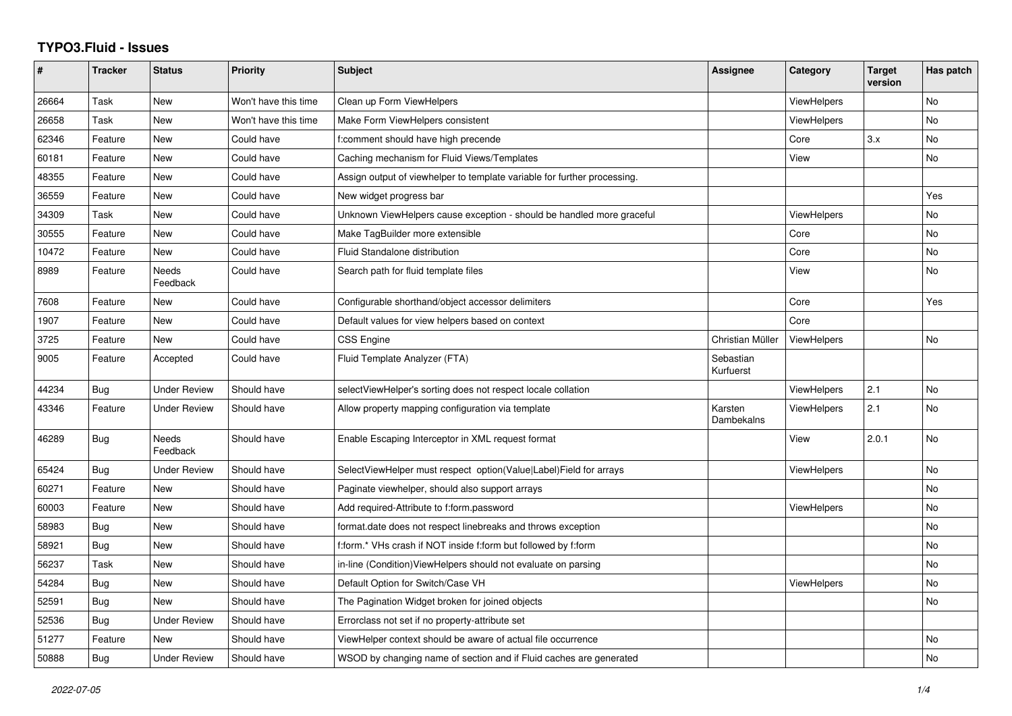## **TYPO3.Fluid - Issues**

| #     | <b>Tracker</b> | <b>Status</b>            | <b>Priority</b>      | <b>Subject</b>                                                           | Assignee               | Category           | <b>Target</b><br>version | Has patch      |
|-------|----------------|--------------------------|----------------------|--------------------------------------------------------------------------|------------------------|--------------------|--------------------------|----------------|
| 26664 | Task           | <b>New</b>               | Won't have this time | Clean up Form ViewHelpers                                                |                        | <b>ViewHelpers</b> |                          | <b>No</b>      |
| 26658 | Task           | New                      | Won't have this time | Make Form ViewHelpers consistent                                         |                        | ViewHelpers        |                          | N <sub>o</sub> |
| 62346 | Feature        | New                      | Could have           | f:comment should have high precende                                      |                        | Core               | 3.x                      | No             |
| 60181 | Feature        | New                      | Could have           | Caching mechanism for Fluid Views/Templates                              |                        | View               |                          | No             |
| 48355 | Feature        | New                      | Could have           | Assign output of viewhelper to template variable for further processing. |                        |                    |                          |                |
| 36559 | Feature        | New                      | Could have           | New widget progress bar                                                  |                        |                    |                          | Yes            |
| 34309 | Task           | <b>New</b>               | Could have           | Unknown ViewHelpers cause exception - should be handled more graceful    |                        | <b>ViewHelpers</b> |                          | <b>No</b>      |
| 30555 | Feature        | New                      | Could have           | Make TagBuilder more extensible                                          |                        | Core               |                          | <b>No</b>      |
| 10472 | Feature        | New                      | Could have           | Fluid Standalone distribution                                            |                        | Core               |                          | <b>No</b>      |
| 8989  | Feature        | Needs<br>Feedback        | Could have           | Search path for fluid template files                                     |                        | View               |                          | No             |
| 7608  | Feature        | <b>New</b>               | Could have           | Configurable shorthand/object accessor delimiters                        |                        | Core               |                          | Yes            |
| 1907  | Feature        | New                      | Could have           | Default values for view helpers based on context                         |                        | Core               |                          |                |
| 3725  | Feature        | New                      | Could have           | CSS Engine                                                               | Christian Müller       | <b>ViewHelpers</b> |                          | No             |
| 9005  | Feature        | Accepted                 | Could have           | Fluid Template Analyzer (FTA)                                            | Sebastian<br>Kurfuerst |                    |                          |                |
| 44234 | <b>Bug</b>     | <b>Under Review</b>      | Should have          | selectViewHelper's sorting does not respect locale collation             |                        | ViewHelpers        | 2.1                      | <b>No</b>      |
| 43346 | Feature        | <b>Under Review</b>      | Should have          | Allow property mapping configuration via template                        | Karsten<br>Dambekalns  | ViewHelpers        | 2.1                      | No             |
| 46289 | Bug            | <b>Needs</b><br>Feedback | Should have          | Enable Escaping Interceptor in XML request format                        |                        | View               | 2.0.1                    | <b>No</b>      |
| 65424 | Bug            | <b>Under Review</b>      | Should have          | SelectViewHelper must respect option(Value Label)Field for arrays        |                        | <b>ViewHelpers</b> |                          | <b>No</b>      |
| 60271 | Feature        | New                      | Should have          | Paginate viewhelper, should also support arrays                          |                        |                    |                          | <b>No</b>      |
| 60003 | Feature        | New                      | Should have          | Add required-Attribute to f:form.password                                |                        | <b>ViewHelpers</b> |                          | No             |
| 58983 | <b>Bug</b>     | <b>New</b>               | Should have          | format.date does not respect linebreaks and throws exception             |                        |                    |                          | <b>No</b>      |
| 58921 | Bug            | New                      | Should have          | f:form.* VHs crash if NOT inside f:form but followed by f:form           |                        |                    |                          | No             |
| 56237 | Task           | New                      | Should have          | in-line (Condition) ViewHelpers should not evaluate on parsing           |                        |                    |                          | No             |
| 54284 | Bug            | New                      | Should have          | Default Option for Switch/Case VH                                        |                        | <b>ViewHelpers</b> |                          | No             |
| 52591 | <b>Bug</b>     | New                      | Should have          | The Pagination Widget broken for joined objects                          |                        |                    |                          | <b>No</b>      |
| 52536 | Bug            | <b>Under Review</b>      | Should have          | Errorclass not set if no property-attribute set                          |                        |                    |                          |                |
| 51277 | Feature        | New                      | Should have          | ViewHelper context should be aware of actual file occurrence             |                        |                    |                          | No             |
| 50888 | Bug            | <b>Under Review</b>      | Should have          | WSOD by changing name of section and if Fluid caches are generated       |                        |                    |                          | <b>No</b>      |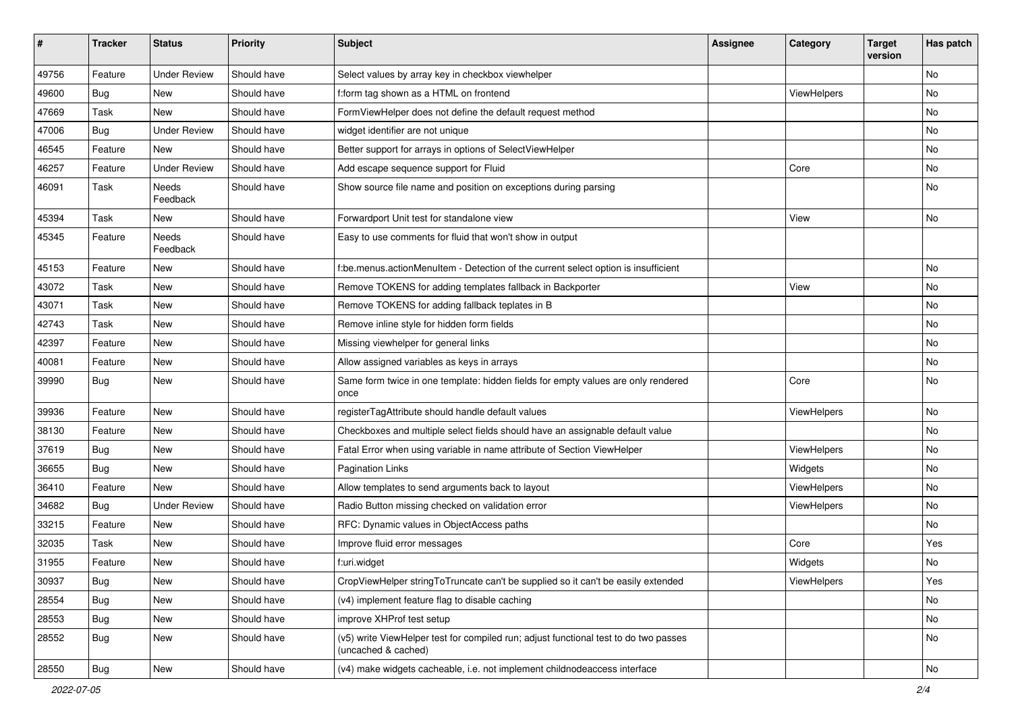| ∦     | <b>Tracker</b> | <b>Status</b>       | <b>Priority</b> | Subject                                                                                                     | Assignee | Category    | <b>Target</b><br>version | Has patch     |
|-------|----------------|---------------------|-----------------|-------------------------------------------------------------------------------------------------------------|----------|-------------|--------------------------|---------------|
| 49756 | Feature        | <b>Under Review</b> | Should have     | Select values by array key in checkbox viewhelper                                                           |          |             |                          | <b>No</b>     |
| 49600 | Bug            | New                 | Should have     | f:form tag shown as a HTML on frontend                                                                      |          | ViewHelpers |                          | No            |
| 47669 | Task           | New                 | Should have     | FormViewHelper does not define the default request method                                                   |          |             |                          | No            |
| 47006 | Bug            | <b>Under Review</b> | Should have     | widget identifier are not unique                                                                            |          |             |                          | No            |
| 46545 | Feature        | New                 | Should have     | Better support for arrays in options of SelectViewHelper                                                    |          |             |                          | No            |
| 46257 | Feature        | <b>Under Review</b> | Should have     | Add escape sequence support for Fluid                                                                       |          | Core        |                          | No            |
| 46091 | Task           | Needs<br>Feedback   | Should have     | Show source file name and position on exceptions during parsing                                             |          |             |                          | No            |
| 45394 | Task           | New                 | Should have     | Forwardport Unit test for standalone view                                                                   |          | View        |                          | No            |
| 45345 | Feature        | Needs<br>Feedback   | Should have     | Easy to use comments for fluid that won't show in output                                                    |          |             |                          |               |
| 45153 | Feature        | New                 | Should have     | f:be.menus.actionMenuItem - Detection of the current select option is insufficient                          |          |             |                          | No            |
| 43072 | Task           | New                 | Should have     | Remove TOKENS for adding templates fallback in Backporter                                                   |          | View        |                          | No            |
| 43071 | Task           | New                 | Should have     | Remove TOKENS for adding fallback teplates in B                                                             |          |             |                          | No            |
| 42743 | Task           | New                 | Should have     | Remove inline style for hidden form fields                                                                  |          |             |                          | No            |
| 42397 | Feature        | New                 | Should have     | Missing viewhelper for general links                                                                        |          |             |                          | No            |
| 40081 | Feature        | New                 | Should have     | Allow assigned variables as keys in arrays                                                                  |          |             |                          | No            |
| 39990 | Bug            | New                 | Should have     | Same form twice in one template: hidden fields for empty values are only rendered<br>once                   |          | Core        |                          | No            |
| 39936 | Feature        | <b>New</b>          | Should have     | registerTagAttribute should handle default values                                                           |          | ViewHelpers |                          | No            |
| 38130 | Feature        | New                 | Should have     | Checkboxes and multiple select fields should have an assignable default value                               |          |             |                          | No            |
| 37619 | Bug            | <b>New</b>          | Should have     | Fatal Error when using variable in name attribute of Section ViewHelper                                     |          | ViewHelpers |                          | No            |
| 36655 | Bug            | New                 | Should have     | <b>Pagination Links</b>                                                                                     |          | Widgets     |                          | No            |
| 36410 | Feature        | New                 | Should have     | Allow templates to send arguments back to layout                                                            |          | ViewHelpers |                          | No            |
| 34682 | Bug            | <b>Under Review</b> | Should have     | Radio Button missing checked on validation error                                                            |          | ViewHelpers |                          | No            |
| 33215 | Feature        | New                 | Should have     | RFC: Dynamic values in ObjectAccess paths                                                                   |          |             |                          | No            |
| 32035 | Task           | New                 | Should have     | Improve fluid error messages                                                                                |          | Core        |                          | Yes           |
| 31955 | Feature        | New                 | Should have     | f:uri.widget                                                                                                |          | Widgets     |                          | No            |
| 30937 | <b>Bug</b>     | New                 | Should have     | CropViewHelper stringToTruncate can't be supplied so it can't be easily extended                            |          | ViewHelpers |                          | Yes           |
| 28554 | <b>Bug</b>     | New                 | Should have     | (v4) implement feature flag to disable caching                                                              |          |             |                          | No            |
| 28553 | <b>Bug</b>     | New                 | Should have     | improve XHProf test setup                                                                                   |          |             |                          | No            |
| 28552 | <b>Bug</b>     | New                 | Should have     | (v5) write ViewHelper test for compiled run; adjust functional test to do two passes<br>(uncached & cached) |          |             |                          | No            |
| 28550 | <b>Bug</b>     | New                 | Should have     | (v4) make widgets cacheable, i.e. not implement childnodeaccess interface                                   |          |             |                          | $\mathsf{No}$ |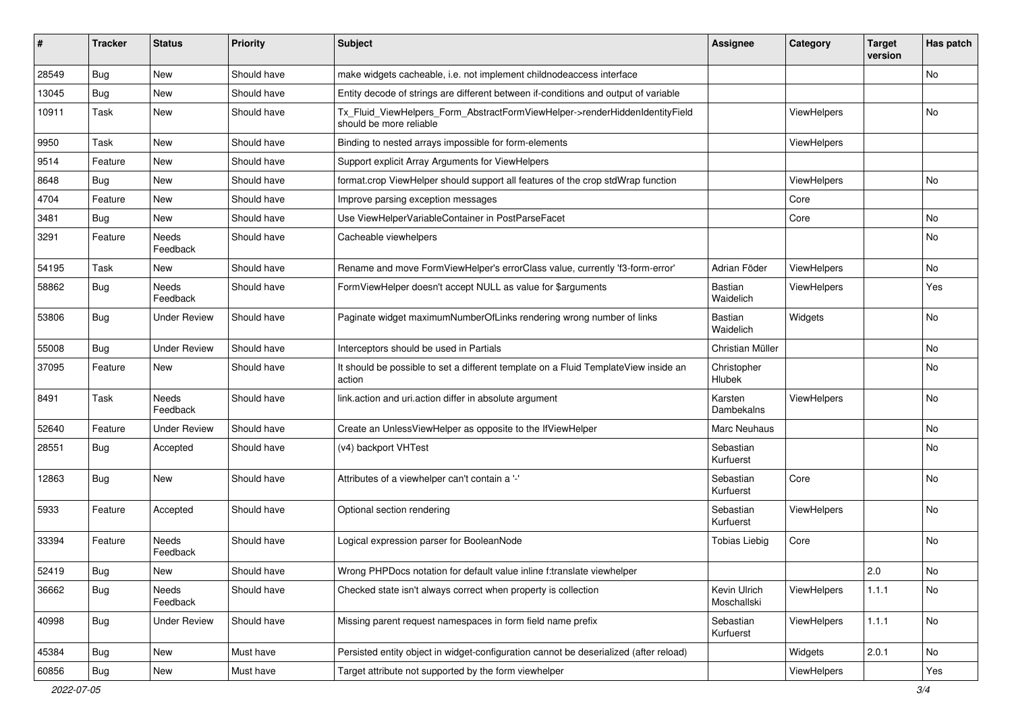| #     | <b>Tracker</b> | <b>Status</b>            | <b>Priority</b> | <b>Subject</b>                                                                                         | <b>Assignee</b>             | Category           | <b>Target</b><br>version | Has patch |
|-------|----------------|--------------------------|-----------------|--------------------------------------------------------------------------------------------------------|-----------------------------|--------------------|--------------------------|-----------|
| 28549 | Bug            | New                      | Should have     | make widgets cacheable, i.e. not implement childnodeaccess interface                                   |                             |                    |                          | No        |
| 13045 | Bug            | New                      | Should have     | Entity decode of strings are different between if-conditions and output of variable                    |                             |                    |                          |           |
| 10911 | Task           | New                      | Should have     | Tx_Fluid_ViewHelpers_Form_AbstractFormViewHelper->renderHiddenIdentityField<br>should be more reliable |                             | ViewHelpers        |                          | No        |
| 9950  | Task           | New                      | Should have     | Binding to nested arrays impossible for form-elements                                                  |                             | ViewHelpers        |                          |           |
| 9514  | Feature        | New                      | Should have     | Support explicit Array Arguments for ViewHelpers                                                       |                             |                    |                          |           |
| 8648  | Bug            | New                      | Should have     | format.crop ViewHelper should support all features of the crop stdWrap function                        |                             | ViewHelpers        |                          | No        |
| 4704  | Feature        | New                      | Should have     | Improve parsing exception messages                                                                     |                             | Core               |                          |           |
| 3481  | Bug            | New                      | Should have     | Use ViewHelperVariableContainer in PostParseFacet                                                      |                             | Core               |                          | No        |
| 3291  | Feature        | Needs<br>Feedback        | Should have     | Cacheable viewhelpers                                                                                  |                             |                    |                          | No        |
| 54195 | Task           | New                      | Should have     | Rename and move FormViewHelper's errorClass value, currently 'f3-form-error'                           | Adrian Föder                | <b>ViewHelpers</b> |                          | No        |
| 58862 | Bug            | Needs<br>Feedback        | Should have     | FormViewHelper doesn't accept NULL as value for \$arguments                                            | <b>Bastian</b><br>Waidelich | ViewHelpers        |                          | Yes       |
| 53806 | Bug            | Under Review             | Should have     | Paginate widget maximumNumberOfLinks rendering wrong number of links                                   | <b>Bastian</b><br>Waidelich | Widgets            |                          | No        |
| 55008 | Bug            | Under Review             | Should have     | Interceptors should be used in Partials                                                                | Christian Müller            |                    |                          | No        |
| 37095 | Feature        | New                      | Should have     | It should be possible to set a different template on a Fluid TemplateView inside an<br>action          | Christopher<br>Hlubek       |                    |                          | No        |
| 8491  | Task           | <b>Needs</b><br>Feedback | Should have     | link.action and uri.action differ in absolute argument                                                 | Karsten<br>Dambekalns       | ViewHelpers        |                          | No        |
| 52640 | Feature        | Under Review             | Should have     | Create an UnlessViewHelper as opposite to the IfViewHelper                                             | Marc Neuhaus                |                    |                          | No        |
| 28551 | Bug            | Accepted                 | Should have     | (v4) backport VHTest                                                                                   | Sebastian<br>Kurfuerst      |                    |                          | No        |
| 12863 | Bug            | New                      | Should have     | Attributes of a viewhelper can't contain a '-'                                                         | Sebastian<br>Kurfuerst      | Core               |                          | No        |
| 5933  | Feature        | Accepted                 | Should have     | Optional section rendering                                                                             | Sebastian<br>Kurfuerst      | ViewHelpers        |                          | No        |
| 33394 | Feature        | Needs<br>Feedback        | Should have     | Logical expression parser for BooleanNode                                                              | <b>Tobias Liebig</b>        | Core               |                          | No        |
| 52419 | i Bug          | New                      | Should have     | Wrong PHPDocs notation for default value inline f:translate viewhelper                                 |                             |                    | 2.0                      | No        |
| 36662 | Bug            | Needs<br>Feedback        | Should have     | Checked state isn't always correct when property is collection                                         | Kevin Ulrich<br>Moschallski | ViewHelpers        | 1.1.1                    | No        |
| 40998 | <b>Bug</b>     | <b>Under Review</b>      | Should have     | Missing parent request namespaces in form field name prefix                                            | Sebastian<br>Kurfuerst      | ViewHelpers        | 1.1.1                    | No        |
| 45384 | Bug            | New                      | Must have       | Persisted entity object in widget-configuration cannot be deserialized (after reload)                  |                             | Widgets            | 2.0.1                    | No        |
| 60856 | <b>Bug</b>     | New                      | Must have       | Target attribute not supported by the form viewhelper                                                  |                             | ViewHelpers        |                          | Yes       |